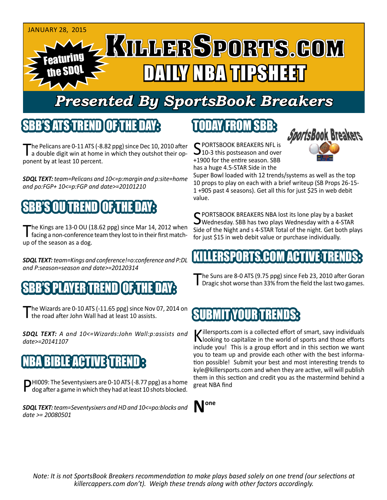

## *Presented By SportsBook Breakers*

#### SBB'S ATSTREND

The Pelicans are 0-11 ATS (-8.82 ppg) since Dec 10, 2010 after<br>a double digit win at home in which they outshot their opponent by at least 10 percent.

*SDQL TEXT: team=Pelicans and 10<=p:margin and p:site=home and po:FGP+ 10<=p:FGP and date>=20101210*

## SBB'S OU TREND OF THE DAY:

The Kings are 13-0 OU (18.62 ppg) since Mar 14, 2012 when<br>facing a non-conference team they lost to in their first matchup of the season as a dog.

*SDQL TEXT: team=Kings and conference!=o:conference and P:DL and P:season=season and date>=20120314*

### 7ER TREN

The Wizards are 0-10 ATS (-11.65 ppg) since Nov 07, 2014 on the road after John Wall had at least 10 assists.

*SDQL TEXT: A and 10<=Wizards:John Wall:p:assists and date>=20141107*

### IBLE ACTIVE TRE

PHI009: The Seventysixers are 0-10 ATS (-8.77 ppg) as a home dog after a game in which they had at least 10 shots blocked.

*SDQL TEXT: team=Seventysixers and HD and 10<=po:blocks and date >= 20080501*

## TODAY FROM SBB:

C PORTSBOOK BREAKERS NFL is  $10-3$  this postseason and over +1900 for the entire season. SBB has a huge 4.5-STAR Side in the



Super Bowl loaded with 12 trends/systems as well as the top 10 props to play on each with a brief writeup (SB Props 26-15- 1 +905 past 4 seasons). Get all this for just \$25 in web debit value.

C PORTSBOOK BREAKERS NBA lost its lone play by a basket  $\bigcup$  Wednesday. SBB has two plays Wednesday with a 4-STAR Side of the Night and s 4-STAR Total of the night. Get both plays for just \$15 in web debit value or purchase individually.

#### IKILLERSPORTS.COM ACT

The Suns are 8-0 ATS (9.75 ppg) since Feb 23, 2010 after Goran<br>
Dragic shot worse than 33% from the field the last two games.

#### SUBMIT YOUR TRENDS:

Killersports.com is a collected effort of smart, savy individuals<br>Nooking to capitalize in the world of sports and those efforts include you! This is a group effort and in this section we want you to team up and provide each other with the best information possible! Submit your best and most interesting trends to kyle@killersports.com and when they are active, will will publish them in this section and credit you as the mastermind behind a great NBA find



*Note: It is not SportsBook Breakers recommendation to make plays based solely on one trend (our selections at killercappers.com don't). Weigh these trends along with other factors accordingly.*